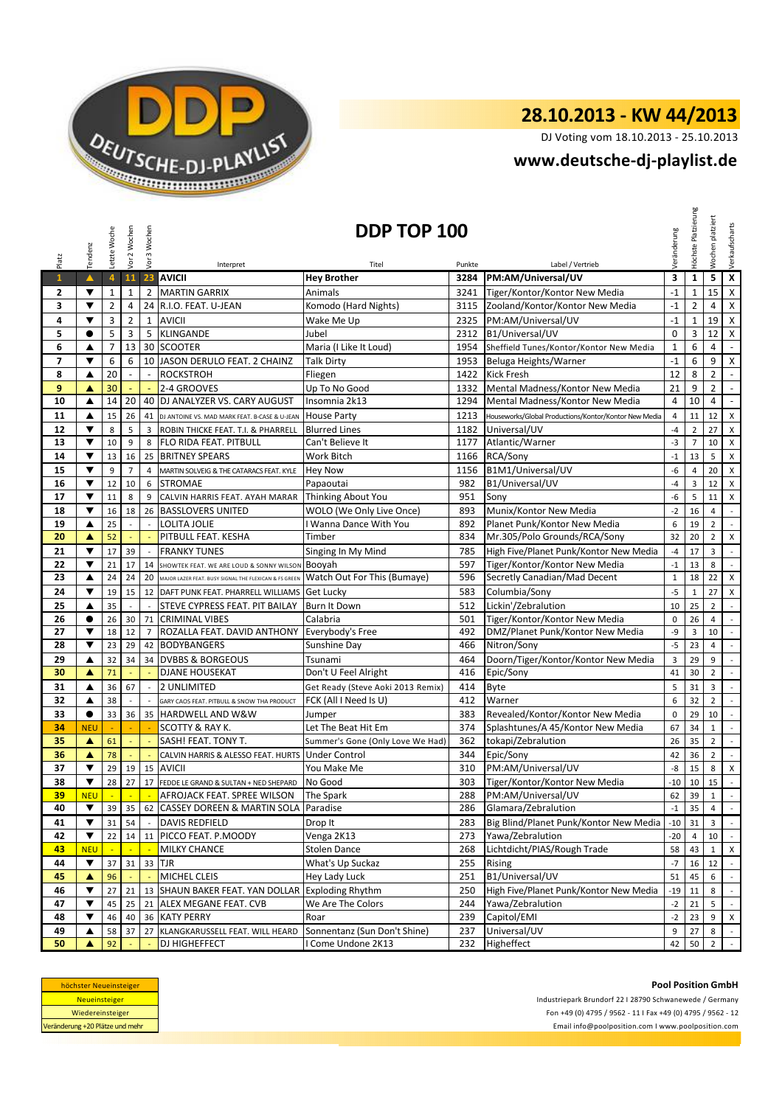

# **28.10.2013 - KW 44/2013**

DJ Voting vom 18.10.2013 - 25.10.2013

## **<www.deutsche-dj-playlist.de>**

| Platz          | Tendenz              | Letzte Woche   | Vor 2 Wochen               | Vor 3 Wochen             | DDP TOP 100<br>Veränderung<br>Label / Vertrieb<br>Interpret<br>Titel<br>Punkte |                                   |      |                                                       |                | Höchste Platzierung | platziert<br>Wochen     | Verkaufscharts              |
|----------------|----------------------|----------------|----------------------------|--------------------------|--------------------------------------------------------------------------------|-----------------------------------|------|-------------------------------------------------------|----------------|---------------------|-------------------------|-----------------------------|
| $\mathbf{1}$   | $\blacktriangle$     | $\overline{4}$ | 11                         | 23 <sup>°</sup>          | <b>AVICII</b>                                                                  | <b>Hey Brother</b>                | 3284 | PM:AM/Universal/UV                                    | 3              | $\mathbf{1}$        | 5                       | $\overline{\mathbf{x}}$     |
| 2              | ▼                    | $\mathbf 1$    | $\mathbf{1}$               | $\overline{2}$           | <b>MARTIN GARRIX</b>                                                           | Animals                           | 3241 | Tiger/Kontor/Kontor New Media                         | $-1$           | $\mathbf 1$         | 15                      | $\pmb{\mathsf{X}}$          |
| 3              | ▼                    | $\overline{2}$ | $\overline{4}$             |                          | 24 R.I.O. FEAT. U-JEAN                                                         | Komodo (Hard Nights)              | 3115 | Zooland/Kontor/Kontor New Media                       | $-1$           | $\overline{2}$      | $\overline{4}$          | $\pmb{\times}$              |
| 4              | $\blacktriangledown$ | 3              | $\overline{2}$             | $\mathbf{1}$             | <b>AVICII</b>                                                                  | Wake Me Up                        | 2325 | PM:AM/Universal/UV                                    | $-1$           | $\mathbf{1}$        | 19                      | $\pmb{\mathsf{X}}$          |
| 5              | $\bullet$            | 5              | 3                          | 5                        | <b>KLINGANDE</b>                                                               | Jubel                             | 2312 | B1/Universal/UV                                       | $\mathbf 0$    | 3                   | 12                      | $\pmb{\mathsf{X}}$          |
| 6              | ▲                    | $\overline{7}$ | 13                         |                          | 30 SCOOTER                                                                     | Maria (I Like It Loud)            | 1954 | Sheffield Tunes/Kontor/Kontor New Media               | $\mathbf 1$    | 6                   | 4                       | $\omega$                    |
| $\overline{ }$ | ▼                    | 6              | 6                          |                          | 10 JASON DERULO FEAT. 2 CHAINZ                                                 | <b>Talk Dirty</b>                 |      | 1953 Beluga Heights/Warner                            | $-1$           | 6                   | 9                       | $\pmb{\times}$              |
| 8              | ▲                    | 20             |                            | $\overline{\phantom{a}}$ | <b>ROCKSTROH</b>                                                               | Fliegen                           | 1422 | <b>Kick Fresh</b>                                     | 12             | 8                   | $\overline{2}$          | $\omega$                    |
| 9              | A                    | 30             | ÷,                         | $\omega$                 | 2-4 GROOVES                                                                    | Up To No Good                     | 1332 | Mental Madness/Kontor New Media                       | 21             | 9                   | $\overline{2}$          | $\omega$                    |
| 10             | ▲                    | 14             | 20                         |                          | 40 DJ ANALYZER VS. CARY AUGUST                                                 | Insomnia 2k13                     | 1294 | Mental Madness/Kontor New Media                       | $\overline{4}$ | 10                  | 4                       | $\omega$                    |
| 11             | $\blacktriangle$     | 15             | 26                         |                          | 41 DJ ANTOINE VS. MAD MARK FEAT. B-CASE & U-JEAN                               | <b>House Party</b>                | 1213 | Houseworks/Global Productions/Kontor/Kontor New Media | $\overline{4}$ | 11                  | 12                      | $\boldsymbol{\mathsf{x}}$   |
| 12             | ▼                    | 8              | 5                          | 3                        | ROBIN THICKE FEAT. T.I. & PHARRELL                                             | <b>Blurred Lines</b>              | 1182 | Universal/UV                                          | $-4$           | $\overline{2}$      | 27                      | X                           |
| 13             | ▼                    | 10             | 9                          | 8                        | FLO RIDA FEAT. PITBULL                                                         | Can't Believe It                  | 1177 | Atlantic/Warner                                       | $-3$           | $\overline{7}$      | 10                      | X                           |
| 14             | ▼                    | 13             | 16                         | 25                       | <b>BRITNEY SPEARS</b>                                                          | Work Bitch                        | 1166 | RCA/Sony                                              | $^{\mbox{-}1}$ | 13                  | 5                       | X                           |
| 15             | $\blacktriangledown$ | 9              | $\overline{7}$             | $\overline{4}$           | MARTIN SOLVEIG & THE CATARACS FEAT. KYLE                                       | <b>Hey Now</b>                    | 1156 | B1M1/Universal/UV                                     | $-6$           | 4                   | 20                      | $\pmb{\times}$              |
| 16             | ▼                    | 12             | 10                         | 6                        | <b>STROMAE</b>                                                                 | Papaoutai                         | 982  | B1/Universal/UV                                       | $-4$           | 3                   | 12                      | $\pmb{\mathsf{X}}$          |
| 17             | $\blacktriangledown$ | 11             | 8                          | 9                        | CALVIN HARRIS FEAT. AYAH MARAR                                                 | Thinking About You                | 951  | Sony                                                  | $-6$           | 5                   | 11                      | $\pmb{\mathsf{X}}$          |
| 18             | ▼                    | 16             | 18                         | 26                       | <b>BASSLOVERS UNITED</b>                                                       | WOLO (We Only Live Once)          | 893  | Munix/Kontor New Media                                | $-2$           | 16                  | $\overline{4}$          | $\mathbb{L}$                |
| 19             | ▲                    | 25             |                            | $\overline{\phantom{a}}$ | <b>LOLITA JOLIE</b>                                                            | I Wanna Dance With You            | 892  | Planet Punk/Kontor New Media                          | 6              | 19                  | $\overline{2}$          | $\blacksquare$              |
| 20             | A                    | 52             | L,                         |                          | PITBULL FEAT. KESHA                                                            | Timber                            | 834  | Mr.305/Polo Grounds/RCA/Sony                          | 32             | 20                  | $\overline{2}$          | X                           |
| 21             | ▼                    | 17             | 39                         | $\sim$                   | <b>FRANKY TUNES</b>                                                            | Singing In My Mind                | 785  | High Five/Planet Punk/Kontor New Media                | $-4$           | 17                  | 3                       | $\mathcal{L}_{\mathcal{A}}$ |
| 22             | ▼                    | 21             | 17                         | 14                       | SHOWTEK FEAT. WE ARE LOUD & SONNY WILSON                                       | Booyah                            | 597  | Tiger/Kontor/Kontor New Media                         | $-1$           | 13                  | 8                       | $\mathbb{L}$                |
| 23             | ▲                    | 24             | 24                         | 20                       | MAJOR LAZER FEAT. BUSY SIGNAL THE FLEXICAN & FS GREEN                          | Watch Out For This (Bumaye)       | 596  | Secretly Canadian/Mad Decent                          | $\mathbf{1}$   | 18                  | 22                      | $\pmb{\mathsf{X}}$          |
| 24             | ▼                    | 19             | 15                         |                          | 12 DAFT PUNK FEAT. PHARRELL WILLIAMS                                           | Get Lucky                         | 583  | Columbia/Sony                                         | $-5$           | $1\,$               | 27                      | $\pmb{\mathsf{X}}$          |
| 25             | ▲                    | 35             | $\sim$                     | $\sim$                   | STEVE CYPRESS FEAT. PIT BAILAY                                                 | <b>Burn It Down</b>               | 512  | Lickin'/Zebralution                                   | 10             | 25                  | $\overline{2}$          | $\sim$                      |
| 26             | $\bullet$            | 26             | 30                         | 71                       | <b>CRIMINAL VIBES</b>                                                          | Calabria                          | 501  | Tiger/Kontor/Kontor New Media                         | $\mathbf 0$    | 26                  | $\overline{4}$          | $\overline{\phantom{a}}$    |
| 27             | ▼                    | 18             | 12                         | $\overline{7}$           | ROZALLA FEAT. DAVID ANTHONY                                                    | Everybody's Free                  | 492  | DMZ/Planet Punk/Kontor New Media                      | $-9$           | 3                   | 10                      | $\mathbb{Z}^{\mathbb{Z}}$   |
| 28             | ▼                    | 23             | 29                         | 42                       | <b>BODYBANGERS</b>                                                             | Sunshine Day                      | 466  | Nitron/Sony                                           | $-5$           | 23                  | 4                       | $\sim$                      |
| 29             | ▲                    | 32             | 34                         | 34                       | <b>DVBBS &amp; BORGEOUS</b>                                                    | Tsunami                           | 464  | Doorn/Tiger/Kontor/Kontor New Media                   | 3              | 29                  | 9                       | $\sim$                      |
| 30             | A                    | 71             |                            |                          | <b>DJANE HOUSEKAT</b>                                                          | Don't U Feel Alright              | 416  | Epic/Sony                                             | 41             | 30                  | $\overline{2}$          | $\mathbb{Z}^2$              |
| 31             | ▲                    | 36             | 67                         | $\overline{\phantom{a}}$ | 2 UNLIMITED                                                                    | Get Ready (Steve Aoki 2013 Remix) | 414  | Byte                                                  | 5              | 31                  | 3                       | $\mathbb{Z}^{\mathbb{Z}}$   |
| 32             | ▲                    | 38             | $\mathcal{L}$              | $\mathcal{L}$            | GARY CAOS FEAT. PITBULL & SNOW THA PRODUCT                                     | FCK (All I Need Is U)             | 412  | Warner                                                | 6              | 32                  | $\overline{2}$          | $\mathbb{Z}^2$              |
| 33             | $\bullet$            | 33             | 36                         | 35                       | <b>HARDWELL AND W&amp;W</b>                                                    | Jumper                            | 383  | Revealed/Kontor/Kontor New Media                      | $\mathbf 0$    | 29                  | 10                      | $\sim$                      |
| 34             | <b>NEU</b>           |                |                            |                          | SCOTTY & RAY K.                                                                | Let The Beat Hit Em               | 374  | Splashtunes/A 45/Kontor New Media                     | 67             | 34                  | $\mathbf{1}$            | $\mathcal{L}^{\pm}$         |
| 35             | ▲                    | 61             |                            |                          | SASH! FEAT. TONY T.                                                            | Summer's Gone (Only Love We Had)  | 362  | tokapi/Zebralution                                    | 26             | 35                  | $\overline{2}$          | $\mathbb{Z}^2$              |
| 36             | ▲                    | 78             | $\sim$                     | $\mathbb{Z}$             | CALVIN HARRIS & ALESSO FEAT. HURTS                                             | <b>Under Control</b>              | 344  | Epic/Sony                                             | 42             | 36                  | $\overline{2}$          | $\sim$                      |
| 37             | ▼                    | 29             | 19                         | 15                       | <b>AVICII</b>                                                                  | You Make Me                       | 310  | PM:AM/Universal/UV                                    | -8             | 15                  | 8                       | $\pmb{\mathsf{X}}$          |
| 38             | ▼                    | 28             | 27                         | 17                       | FEDDE LE GRAND & SULTAN + NED SHEPARD                                          | No Good                           | 303  | Tiger/Kontor/Kontor New Media                         | $-10$          | 10                  | 15                      | $\mathbb{Z}^2$              |
| <u>39</u>      | <b>NEU</b>           | $\blacksquare$ | $\mathcal{L}_{\mathbf{r}}$ |                          | AFROJACK FEAT. SPREE WILSON                                                    | The Spark                         | 288  | PM:AM/Universal/UV                                    | 62             | 39                  | $\mathbf{1}$            | $\overline{\phantom{a}}$    |
| 40             | ▼                    | 39             | 35                         | 62                       | <b>CASSEY DOREEN &amp; MARTIN SOLA</b>                                         | Paradise                          | 286  | Glamara/Zebralution                                   | $^{\rm -1}$    | 35                  | $\overline{4}$          | $\sim$                      |
| 41             | ▼                    | 31             | 54                         |                          | <b>DAVIS REDFIELD</b>                                                          | Drop It                           | 283  | Big Blind/Planet Punk/Kontor New Media                | $-10$          | 31                  | $\overline{\mathbf{3}}$ | $\sim$                      |
| 42             | $\blacktriangledown$ | 22             | 14                         | 11                       | PICCO FEAT. P.MOODY                                                            | Venga 2K13                        | 273  | Yawa/Zebralution                                      | $-20$          | 4                   | 10 <sup>1</sup>         | $\sim$                      |
| 43             | <b>NEU</b>           |                |                            | ч.                       | MILKY CHANCE                                                                   | Stolen Dance                      | 268  | Lichtdicht/PIAS/Rough Trade                           | 58             | 43                  | $\mathbf{1}$            | X                           |
| 44             | $\blacktriangledown$ | 37             | 31                         | 33                       | <b>TJR</b>                                                                     | What's Up Suckaz                  | 255  | Rising                                                | $-7$           | 16                  | 12                      |                             |
| 45             | ▲                    | 96             |                            |                          | MICHEL CLEIS                                                                   | Hey Lady Luck                     | 251  | B1/Universal/UV                                       | 51             | 45                  | 6                       | $\sim$                      |
| 46             | ▼                    | 27             | 21                         | 13                       | SHAUN BAKER FEAT. YAN DOLLAR                                                   | <b>Exploding Rhythm</b>           | 250  | High Five/Planet Punk/Kontor New Media                | $-19$          | 11                  | 8                       | $\sim$                      |
| 47             | $\blacktriangledown$ | 45             | 25                         | 21                       | ALEX MEGANE FEAT. CVB                                                          | We Are The Colors                 | 244  | Yawa/Zebralution                                      | $-2$           | 21                  | 5                       | $\sim$                      |
| 48             | ▼                    | 46             | 40                         |                          | 36 KATY PERRY                                                                  | Roar                              | 239  | Capitol/EMI                                           | $-2$           | 23                  | 9                       | $\mathsf X$                 |
| 49             | ▲                    | 58             | 37                         | 27                       | KLANGKARUSSELL FEAT. WILL HEARD                                                | Sonnentanz (Sun Don't Shine)      | 237  | Universal/UV                                          | 9              | 27                  | 8                       | $\sim$                      |
| 50             | A                    | 92             |                            |                          | DJ HIGHEFFECT                                                                  | Come Undone 2K13                  | 232  | Higheffect                                            | 42             | 50                  | $\overline{2}$          | $\sim$                      |

| höchster Neueinsteiger          |
|---------------------------------|
| <b>Neueinsteiger</b>            |
| Wiedereinsteiger                |
| Veränderung +20 Plätze und mehr |

**Pool Position GmbH** Industriepark Brundorf 22 I 28790 Schwanewede / Germany Fon +49 (0) 4795 / 9562 - 11 I Fax +49 (0) 4795 / 9562 - 12 <Email info@poolposition.com I www.poolposition.com>